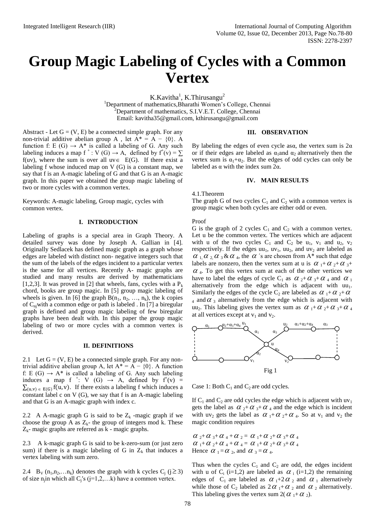# **Group Magic Labeling of Cycles with a Common Vertex**

K.Kavitha<sup>1</sup>, K.Thirusangu<sup>2</sup>

<sup>1</sup>Department of mathematics, Bharathi Women's College, Chennai <sup>2</sup>Department of mathematics, S.I.V.E.T. College, Chennai Email: kavitha35@gmail.com, kthirusangu@gmail.com

# **III. OBSERVATION**

Abstract - Let  $G = (V, E)$  be a connected simple graph. For any non-trivial additive abelian group A, let  $A^* = A - \{0\}$ . A function f: E  $(G) \rightarrow A^*$  is called a labeling of G. Any such labeling induces a map  $f^+$ : V (G)  $\rightarrow$  A, defined by  $f^+(v) = \sum$ f(uv), where the sum is over all  $uv \in E(G)$ . If there exist a labeling f whose induced map on  $V(G)$  is a constant map, we say that f is an A-magic labeling of G and that G is an A-magic graph. In this paper we obtained the group magic labeling of two or more cycles with a common vertex.

Keywords: A-magic labeling, Group magic, cycles with common vertex.

## **I. INTRODUCTION**

Labeling of graphs is a special area in Graph Theory. A detailed survey was done by Joseph A. Gallian in [4]. Originally Sedlacek has defined magic graph as a graph whose edges are labeled with distinct non- negative integers such that the sum of the labels of the edges incident to a particular vertex is the same for all vertices. Recently A- magic graphs are studied and many results are derived by mathematicians [1,2,3]. It was proved in [2] that wheels, fans, cycles with a  $P_k$ chord, books are group magic. In [5] group magic labeling of wheels is given. In [6] the graph  $B(n_1, n_2, ..., n_k)$ , the k copies of  $C_{ni}$  with a common edge or path is labeled . In [7] a biregular graph is defined and group magic labeling of few biregular graphs have been dealt with. In this paper the group magic labeling of two or more cycles with a common vertex is derived.

## **II. DEFINITIONS**

2.1 Let  $G = (V, E)$  be a connected simple graph. For any nontrivial additive abelian group A, let  $A^* = A - \{0\}$ . A function f: E (G)  $\rightarrow$  A\* is called a labeling of G. Any such labeling induces a map f  $\overline{+}$ : V (G)  $\rightarrow$  A, defined by  $f^+(v) =$  $\sum_{(u,v) \in E(G)} f(u,v)$ . If there exists a labeling f which induces a constant label c on V (G), we say that f is an A-magic labeling and that G is an A-magic graph with index c.

2.2 A A-magic graph G is said to be  $Z_k$ -magic graph if we choose the group A as  $Z_k$ - the group of integers mod k. These  $Z_k$ - magic graphs are referred as  $k$  - magic graphs.

2.3 A k-magic graph G is said to be k-zero-sum (or just zero sum) if there is a magic labeling of G in  $Z_k$  that induces a vertex labeling with sum zero.

2.4 B<sub>V</sub> ( $n_1, n_2,...n_k$ ) denotes the graph with k cycles C<sub>j</sub> ( $j \ge 3$ ) of size n<sub>j</sub>in which all C<sub>j</sub>'s (j=1,2,...k) have a common vertex.

By labeling the edges of even cycle as  $\alpha$ , the vertex sum is  $2\alpha$ or if their edges are labeled as  $\alpha_1$  and  $\alpha_2$  alternatively then the vertex sum is  $\alpha_1 + \alpha_2$ . But the edges of odd cycles can only be labeled as  $α$  with the index sum  $2α$ .

## **IV. MAIN RESULTS**

4.1.Theorem

The graph G of two cycles  $C_1$  and  $C_2$  with a common vertex is group magic when both cycles are either odd or even.

Proof

G is the graph of 2 cycles  $C_1$  and  $C_2$  with a common vertex. Let u be the common vertex. The vertices which are adjacent with u of the two cycles  $C_1$  and  $C_2$  be u<sub>1</sub>, v<sub>1</sub> and u<sub>2</sub>, v<sub>2</sub> respectively. If the edges  $uu_1$ ,  $uv_1$ ,  $uu_2$ , and  $uv_2$  are labeled as  $\alpha_1, \alpha_2, \alpha_3 \& \alpha_4$ , the  $\alpha$ 's are chosen from A\* such that edge labels are nonzero, then the vertex sum at u is  $\alpha_1 + \alpha_2 + \alpha_3 + \alpha_4$  $\alpha$ <sub>4</sub>. To get this vertex sum at each of the other vertices we have to label the edges of cycle C<sub>1</sub> as  $\alpha_2 + \alpha_3 + \alpha_4$  and  $\alpha_1$ alternatively from the edge which is adjacent with  $uu_1$ . Similarly the edges of the cycle C<sub>2</sub> are labeled as  $\alpha_1 + \alpha_2 + \alpha_3$  $_4$  and  $\alpha$  <sub>3</sub> alternatively from the edge which is adjacent with uu<sub>2</sub>. This labeling gives the vertex sum as  $\alpha_1 + \alpha_2 + \alpha_3 + \alpha_4$ at all vertices except at  $v_1$  and  $v_2$ .



Case 1: Both  $C_1$  and  $C_2$  are odd cycles.

If  $C_1$  and  $C_2$  are odd cycles the edge which is adjacent with uv<sub>1</sub> gets the label as  $\alpha_2 + \alpha_3 + \alpha_4$  and the edge which is incident with uv<sub>2</sub> gets the label as  $\alpha_1 + \alpha_2 + \alpha_4$ . So at v<sub>1</sub> and v<sub>2</sub> the magic condition requires

 $\alpha_2 + \alpha_3 + \alpha_4 + \alpha_2 = \alpha_1 + \alpha_2 + \alpha_3 + \alpha_4$  $\alpha_1 + \alpha_2 + \alpha_4 + \alpha_5 = \alpha_1 + \alpha_2 + \alpha_3 + \alpha_4$ Hence  $\alpha_1 = \alpha_2$ , and  $\alpha_3 = \alpha_4$ .

Thus when the cycles  $C_1$  and  $C_2$  are odd, the edges incident with u of C<sub>i</sub> (i=1,2) are labeled as  $\alpha_i$  (i=1,2) the remaining edges of  $C_1$  are labeled as  $\alpha_1+2\alpha_2$  and  $\alpha_1$  alternatively while those of  $C_2$  labeled as  $2\alpha_1+\alpha_2$  and  $\alpha_2$  alternatively. This labeling gives the vertex sum  $2(\alpha_1+\alpha_2)$ .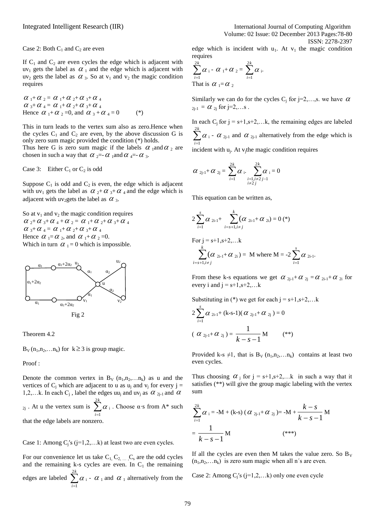Case 2: Both  $C_1$  and  $C_2$  are even

If  $C_1$  and  $C_2$  are even cycles the edge which is adjacent with  $uv_1$  gets the label as  $\alpha_1$  and the edge which is adjacent with  $uv_2$  gets the label as  $\alpha_3$ . So at  $v_1$  and  $v_2$  the magic condition requires

 $\alpha_1 + \alpha_2 = \alpha_1 + \alpha_2 + \alpha_3 + \alpha_4$  $\alpha_3+\alpha_4 = \alpha_1+\alpha_2+\alpha_3+\alpha_4$ Hence  $\alpha_1 + \alpha_2 = 0$ , and  $\alpha_3 + \alpha_4 = 0$  (\*)

This in turn leads to the vertex sum also as zero.Hence when the cycles  $C_1$  and  $C_2$  are even, by the above discussion G is only zero sum magic provided the condition (\*) holds.

Thus here G is zero sum magic if the labels  $\alpha_1$  and  $\alpha_2$  are chosen in such a way that  $\alpha_{2} = -\alpha_{1}$  and  $\alpha_{4} = -\alpha_{3}$ .

Case 3: Either  $C_1$  or  $C_2$  is odd

Suppose  $C_1$  is odd and  $C_2$  is even, the edge which is adjacent with uv<sub>1</sub> gets the label as  $\alpha_{2} + \alpha_{3} + \alpha_{4}$  and the edge which is adjacent with uv<sub>2</sub>gets the label as  $\alpha_3$ .

So at  $v_1$  and  $v_2$  the magic condition requires  $\alpha_2 + \alpha_3 + \alpha_4 + \alpha_2 = \alpha_1 + \alpha_2 + \alpha_3 + \alpha_4$  $\alpha_3+\alpha_4 = \alpha_1+\alpha_2+\alpha_3+\alpha_4$ Hence  $\alpha_1 = \alpha_2$ , and  $\alpha_1 + \alpha_2 = 0$ . Which in turn  $\alpha_1 = 0$  which is impossible.



Theorem 4.2

 $B_V(n_1, n_2, \ldots n_k)$  for  $k \ge 3$  is group magic.

Proof :

Denote the common vertex in B<sub>V</sub>  $(n_1, n_2, \ldots, n_k)$  as u and the vertices of  $C_i$  which are adjacent to u as  $u_i$  and  $v_i$  for every j = 1,2,...k. In each C<sub>j</sub>, label the edges uu<sub>j</sub> and uv<sub>j</sub> as  $\alpha$ <sub>2j-1</sub> and  $\alpha$ 

 $_{2j}$ . At u the vertex sum is  $\sum_{i=1}^{2k}$ *i* 2 1  $\alpha_i$ . Choose  $\alpha$ 's from A<sup>\*</sup> such that the edge labels are nonzero.

Case 1: Among  $C_j$ 's (j=1,2,...k) at least two are even cycles.

For our convenience let us take  $C_1, C_2, \ldots, C_s$  are the odd cycles and the remaining k-s cycles are even. In  $C_1$  the remaining edges are labeled  $\sum_{i=1}^{2k}$ *i* 2 1  $\alpha_i$  -  $\alpha_1$  and  $\alpha_1$  alternatively from the edge which is incident with  $u_1$ . At  $v_1$  the magic condition requires

$$
\sum_{i=1}^{2k} \alpha_i - \alpha_1 + \alpha_2 = \sum_{i=1}^{2k} \alpha_i.
$$
  
That is  $\alpha_1 = \alpha_2$ 

Similarly we can do for the cycles C<sub>j</sub> for j=2,...,s. we have  $\alpha$  $_{2j-1} = \alpha_{2j}$  for j=2,...s.

In each C<sub>i</sub> for  $j = s+1, s+2,...k$ , the remaining edges are labeled  $\sum_{i=1}^{2k}$ *i* 2 1  $\alpha_i$  -  $\alpha_{2j-1}$  and  $\alpha_{2j-1}$  alternatively from the edge which is

incident with  $u_j$ . At v<sub>i</sub>the magic condition requires

$$
\alpha_{2j-1} + \alpha_{2j} = \sum_{i=1}^{2k} \alpha_i \sum_{\substack{i=1, i \neq 2 \ j-1}}^{2k} \alpha_i = 0
$$

This equation can be written as,

$$
2\sum_{i=1}^{s} \alpha_{2i-1} + \sum_{i=s+1, i\neq j}^{k} (\alpha_{2i-1} + \alpha_{2i}) = 0 (*)
$$

For 
$$
j = s+1, s+2, ...k
$$
  
\n
$$
\sum_{i=s+1, i \neq j}^{k} (\alpha_{2i-1} + \alpha_{2i}) = M \text{ where } M = -2 \sum_{i=1}^{s} \alpha_{2i-1}.
$$

From these k-s equations we get  $\alpha_{2j-1} + \alpha_{2j} = \alpha_{2i-1} + \alpha_{2i}$  for every i and  $j = s+1, s+2,...k$ 

Substituting in (\*) we get for each 
$$
j = s+1, s+2,...
$$
  
\n
$$
2\sum_{i=1}^{s} \alpha_{2i-1} + (k-s-1)(\alpha_{2j-1} + \alpha_{2j}) = 0
$$
\n
$$
(\alpha_{2j-1} + \alpha_{2j}) = \frac{1}{k-s-1}M \qquad (*)
$$

Provided k-s  $\neq$ 1, that is B<sub>V</sub> (n<sub>1</sub>, n<sub>2</sub>, ..., n<sub>k</sub>) contains at least two even cycles.

Thus choosing  $\alpha_j$  for  $j = s+1, s+2,...k$  in such a way that it satisfies (\*\*) will give the group magic labeling with the vertex sum

$$
\sum_{i=1}^{2k} \alpha_i = -M + (k-s) (\alpha_{2j-1} + \alpha_{2j}) = -M + \frac{k-s}{k-s-1} M
$$
  
= 
$$
\frac{1}{k-s-1} M \qquad (*)
$$

If all the cycles are even then M takes the value zero. So  $B_V$  $(n_1, n_2, \ldots, n_k)$  is zero sum magic when all n's are even.

Case 2: Among  $C_j$ 's (j=1,2,...k) only one even cycle